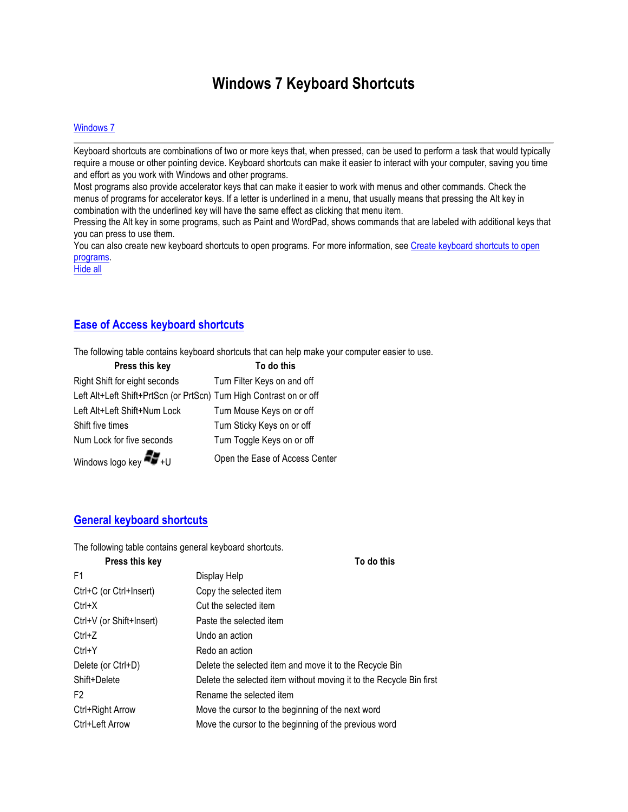# **Windows 7 Keyboard Shortcuts**

#### Windows 7

Keyboard shortcuts are combinations of two or more keys that, when pressed, can be used to perform a task that would typically require a mouse or other pointing device. Keyboard shortcuts can make it easier to interact with your computer, saving you time and effort as you work with Windows and other programs.

Most programs also provide accelerator keys that can make it easier to work with menus and other commands. Check the menus of programs for accelerator keys. If a letter is underlined in a menu, that usually means that pressing the Alt key in combination with the underlined key will have the same effect as clicking that menu item.

Pressing the Alt key in some programs, such as Paint and WordPad, shows commands that are labeled with additional keys that you can press to use them.

You can also create new keyboard shortcuts to open programs. For more information, see Create keyboard shortcuts to open programs.

Hide all

#### **Ease of Access keyboard shortcuts**

The following table contains keyboard shortcuts that can help make your computer easier to use.

| Press this key                                                      | To do this                     |
|---------------------------------------------------------------------|--------------------------------|
| Right Shift for eight seconds                                       | Turn Filter Keys on and off    |
| Left Alt+Left Shift+PrtScn (or PrtScn) Turn High Contrast on or off |                                |
| Left Alt+Left Shift+Num Lock                                        | Turn Mouse Keys on or off      |
| Shift five times                                                    | Turn Sticky Keys on or off     |
| Num Lock for five seconds                                           | Turn Toggle Keys on or off     |
| Windows logo key $\overline{\bullet}\overline{\bullet}$ +U          | Open the Ease of Access Center |

#### **General keyboard shortcuts**

The following table contains general keyboard shortcuts.

| Press this key           | To do this                                                          |
|--------------------------|---------------------------------------------------------------------|
| F <sub>1</sub>           | Display Help                                                        |
| Ctrl+C (or Ctrl+Insert)  | Copy the selected item                                              |
| $Ctrl+X$                 | Cut the selected item                                               |
| Ctrl+V (or Shift+Insert) | Paste the selected item                                             |
| $Ctrl+Z$                 | Undo an action                                                      |
| $Ctrl+Y$                 | Redo an action                                                      |
| Delete (or Ctrl+D)       | Delete the selected item and move it to the Recycle Bin             |
| Shift+Delete             | Delete the selected item without moving it to the Recycle Bin first |
| F <sub>2</sub>           | Rename the selected item                                            |
| Ctrl+Right Arrow         | Move the cursor to the beginning of the next word                   |
| Ctrl+Left Arrow          | Move the cursor to the beginning of the previous word               |
|                          |                                                                     |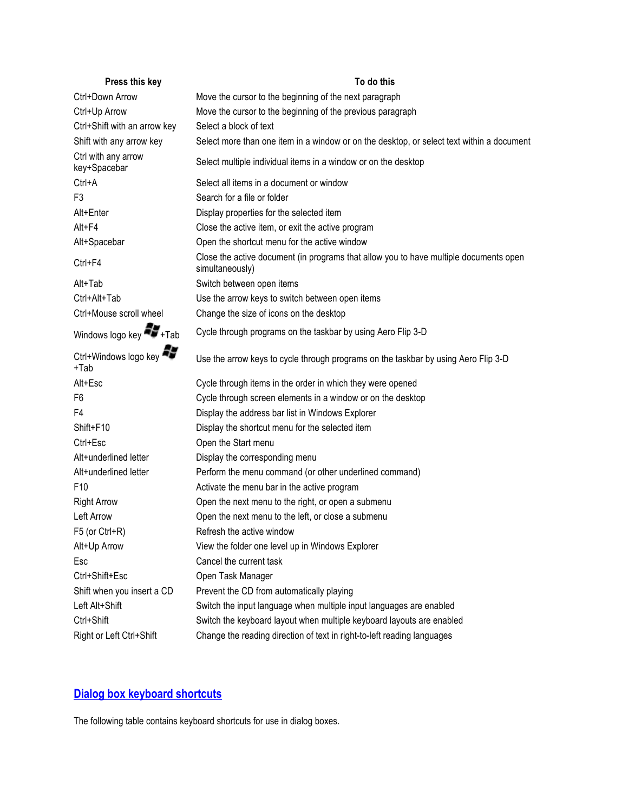#### **Press this key To do this** Ctrl+Down Arrow Move the cursor to the beginning of the next paragraph Ctrl+Up Arrow Move the cursor to the beginning of the previous paragraph Ctrl+Shift with an arrow key Select a block of text Shift with any arrow key Select more than one item in a window or on the desktop, or select text within a document Ctrl with any arrow Eur with any arrow Select multiple individual items in a window or on the desktop<br>key+Spacebar Ctrl+A Select all items in a document or window F3 Search for a file or folder Alt+Enter Display properties for the selected item Alt+F4 Close the active item, or exit the active program Alt+Spacebar **Open the shortcut menu for the active window** Ctrl+F4 Close the active document (in programs that allow you to have multiple documents open simultaneously) Alt+Tab Switch between open items Ctrl+Alt+Tab Use the arrow keys to switch between open items Ctrl+Mouse scroll wheel Change the size of icons on the desktop Windows logo key  $\sim$  +Tab Cycle through programs on the taskbar by using Aero Flip 3-D Ctrl+Windows logo key +Tab Use the arrow keys to cycle through programs on the taskbar by using Aero Flip 3-D Alt+Esc Cycle through items in the order in which they were opened F6 Cycle through screen elements in a window or on the desktop F4 Display the address bar list in Windows Explorer Shift+F10 Display the shortcut menu for the selected item Ctrl+Esc Open the Start menu Alt+underlined letter Display the corresponding menu Alt+underlined letter Perform the menu command (or other underlined command) F10 Activate the menu bar in the active program Right Arrow Open the next menu to the right, or open a submenu Left Arrow Open the next menu to the left, or close a submenu F5 (or Ctrl+R) Refresh the active window Alt+Up Arrow View the folder one level up in Windows Explorer Esc Cancel the current task Ctrl+Shift+Esc Open Task Manager Shift when you insert a CD Prevent the CD from automatically playing Left Alt+Shift Switch the input language when multiple input languages are enabled Ctrl+Shift Switch the keyboard layout when multiple keyboard layouts are enabled Right or Left Ctrl+Shift Change the reading direction of text in right-to-left reading languages

#### **Dialog box keyboard shortcuts**

The following table contains keyboard shortcuts for use in dialog boxes.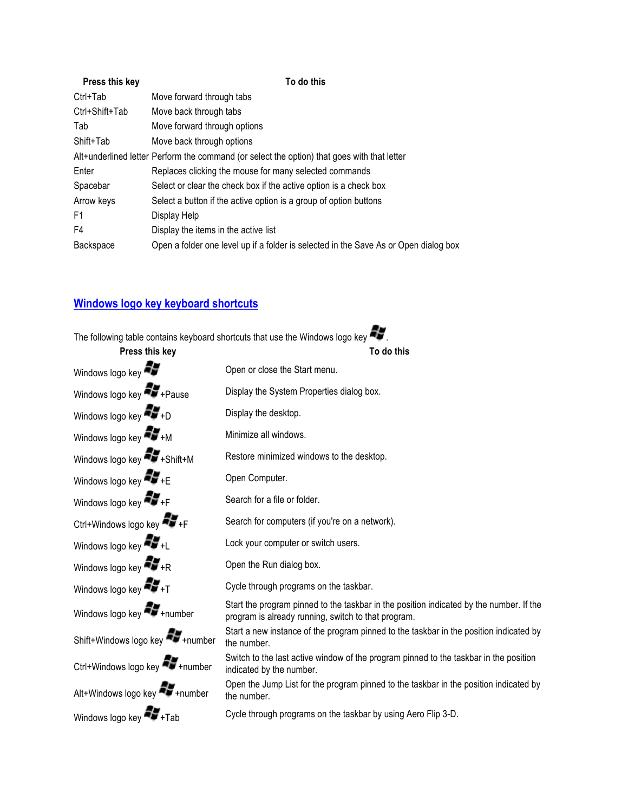| Press this key   | To do this                                                                                  |
|------------------|---------------------------------------------------------------------------------------------|
| Ctrl+Tab         | Move forward through tabs                                                                   |
| Ctrl+Shift+Tab   | Move back through tabs                                                                      |
| Tab              | Move forward through options                                                                |
| Shift+Tab        | Move back through options                                                                   |
|                  | Alt+underlined letter Perform the command (or select the option) that goes with that letter |
| Enter            | Replaces clicking the mouse for many selected commands                                      |
| Spacebar         | Select or clear the check box if the active option is a check box                           |
| Arrow keys       | Select a button if the active option is a group of option buttons                           |
| F <sub>1</sub>   | Display Help                                                                                |
| F4               | Display the items in the active list                                                        |
| <b>Backspace</b> | Open a folder one level up if a folder is selected in the Save As or Open dialog box        |

# **Windows logo key keyboard shortcuts**

The following table contains keyboard shortcuts that use the Windows logo key

| Press this key                                  | To do this                                                                                                                                     |
|-------------------------------------------------|------------------------------------------------------------------------------------------------------------------------------------------------|
| Windows logo key                                | Open or close the Start menu.                                                                                                                  |
| Windows logo key <b>Fig.</b> +Pause             | Display the System Properties dialog box.                                                                                                      |
| Windows logo key $\overline{\bullet}$ +D        | Display the desktop.                                                                                                                           |
| Windows logo key $\mathcal{L}_{+M}$             | Minimize all windows.                                                                                                                          |
| Windows logo key <b>AV</b> + Shift+M            | Restore minimized windows to the desktop.                                                                                                      |
| Windows logo key $\overline{H}$ + E             | Open Computer.                                                                                                                                 |
| Windows logo key $\overline{F}$ +F              | Search for a file or folder.                                                                                                                   |
| Ctrl+Windows logo key $\mathbf{F}_{\mathbf{F}}$ | Search for computers (if you're on a network).                                                                                                 |
| Windows logo key $\frac{2\pi}{3}$ +L            | Lock your computer or switch users.                                                                                                            |
| Windows logo key $\frac{1}{\sqrt{1 + R}}$       | Open the Run dialog box.                                                                                                                       |
| Windows logo key $+T$                           | Cycle through programs on the taskbar.                                                                                                         |
| Windows logo key <b>AV</b> +number              | Start the program pinned to the taskbar in the position indicated by the number. If the<br>program is already running, switch to that program. |
| Shift+Windows logo key <b>For +number</b>       | Start a new instance of the program pinned to the taskbar in the position indicated by<br>the number.                                          |
| Ctrl+Windows logo key <b>Fig.</b> +number       | Switch to the last active window of the program pinned to the taskbar in the position<br>indicated by the number.                              |
| Alt+Windows logo key <b>Fig.</b> +number        | Open the Jump List for the program pinned to the taskbar in the position indicated by<br>the number.                                           |
| Windows logo key $\blacksquare$ + Tab           | Cycle through programs on the taskbar by using Aero Flip 3-D.                                                                                  |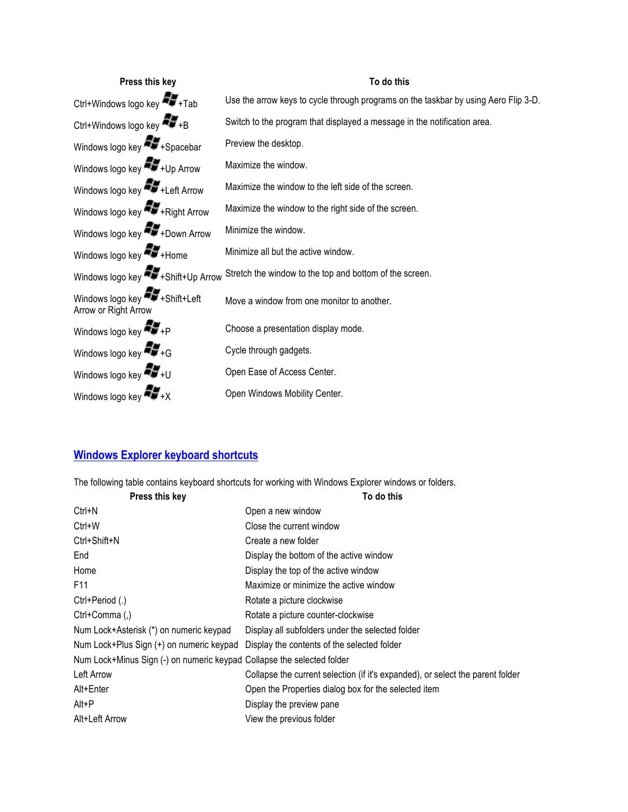| Press this key                                                   | To do this                                                                          |
|------------------------------------------------------------------|-------------------------------------------------------------------------------------|
| Ctrl+Windows logo key *** +Tab                                   | Use the arrow keys to cycle through programs on the taskbar by using Aero Flip 3-D. |
| Ctrl+Windows logo key $\mathbf{F}$ +B                            | Switch to the program that displayed a message in the notification area.            |
| Windows logo key *** +Spacebar                                   | Preview the desktop.                                                                |
| Windows logo key $\mathbf{F}_{\mathbf{y}}$ +Up Arrow             | Maximize the window.                                                                |
| Windows logo key For +Left Arrow                                 | Maximize the window to the left side of the screen.                                 |
| Windows logo key $\mathcal{F}_{+}$ Right Arrow                   | Maximize the window to the right side of the screen.                                |
| Windows logo key <b>AV</b> + Down Arrow                          | Minimize the window.                                                                |
| Windows logo key <b>Fig.</b> +Home                               | Minimize all but the active window.                                                 |
| Windows logo key $\sim +$ Shift+Up Arrow                         | Stretch the window to the top and bottom of the screen.                             |
| Windows logo key <b>Fig.</b> +Shift+Left<br>Arrow or Right Arrow | Move a window from one monitor to another.                                          |
| Windows logo key $\blacksquare$ +P                               | Choose a presentation display mode.                                                 |
| Windows logo key $\overline{H}$ + G                              | Cycle through gadgets.                                                              |
| Windows logo key $\overline{\bullet}$ + U                        | Open Ease of Access Center.                                                         |
| Windows logo key $\overline{\bullet}$ + X                        | Open Windows Mobility Center.                                                       |

# **Windows Explorer keyboard shortcuts**

The following table contains keyboard shortcuts for working with Windows Explorer windows or folders.

| Press this key                                                         | To do this                                                                     |
|------------------------------------------------------------------------|--------------------------------------------------------------------------------|
| $Ctrl + N$                                                             | Open a new window                                                              |
| $Ctrl + W$                                                             | Close the current window                                                       |
| Ctrl+Shift+N                                                           | Create a new folder                                                            |
| End                                                                    | Display the bottom of the active window                                        |
| Home                                                                   | Display the top of the active window                                           |
| F <sub>11</sub>                                                        | Maximize or minimize the active window                                         |
| Ctrl+Period (.)                                                        | Rotate a picture clockwise                                                     |
| Ctrl+Comma (,)                                                         | Rotate a picture counter-clockwise                                             |
| Num Lock+Asterisk (*) on numeric keypad                                | Display all subfolders under the selected folder                               |
| Num Lock+Plus Sign (+) on numeric keypad                               | Display the contents of the selected folder                                    |
| Num Lock+Minus Sign (-) on numeric keypad Collapse the selected folder |                                                                                |
| Left Arrow                                                             | Collapse the current selection (if it's expanded), or select the parent folder |
| Alt+Enter                                                              | Open the Properties dialog box for the selected item                           |
| $Alt + P$                                                              | Display the preview pane                                                       |
| Alt+Left Arrow                                                         | View the previous folder                                                       |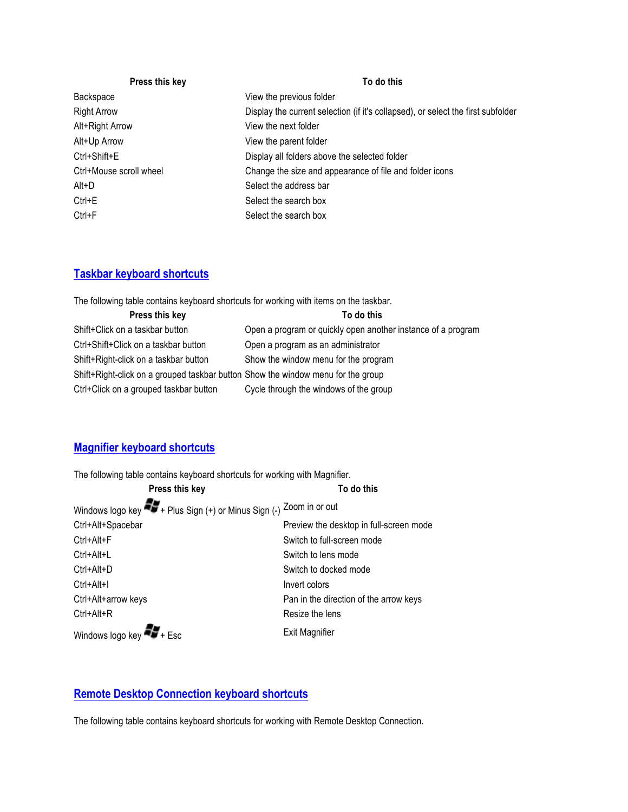| Press this key          | To do this                                                                       |
|-------------------------|----------------------------------------------------------------------------------|
| Backspace               | View the previous folder                                                         |
| <b>Right Arrow</b>      | Display the current selection (if it's collapsed), or select the first subfolder |
| Alt+Right Arrow         | View the next folder                                                             |
| Alt+Up Arrow            | View the parent folder                                                           |
| Ctrl+Shift+E            | Display all folders above the selected folder                                    |
| Ctrl+Mouse scroll wheel | Change the size and appearance of file and folder icons                          |
| Alt+D                   | Select the address bar                                                           |
| $Ctrl + E$              | Select the search box                                                            |
| $Ctrl + F$              | Select the search box                                                            |
|                         |                                                                                  |

### **Taskbar keyboard shortcuts**

The following table contains keyboard shortcuts for working with items on the taskbar.

| Press this key                                                                   | To do this                                                   |
|----------------------------------------------------------------------------------|--------------------------------------------------------------|
| Shift+Click on a taskbar button                                                  | Open a program or quickly open another instance of a program |
| Ctrl+Shift+Click on a taskbar button                                             | Open a program as an administrator                           |
| Shift+Right-click on a taskbar button                                            | Show the window menu for the program                         |
| Shift+Right-click on a grouped taskbar button Show the window menu for the group |                                                              |
| Ctrl+Click on a grouped taskbar button                                           | Cycle through the windows of the group                       |

### **Magnifier keyboard shortcuts**

The following table contains keyboard shortcuts for working with Magnifier.

| Press this key                                                                   | To do this                              |
|----------------------------------------------------------------------------------|-----------------------------------------|
| Windows logo key $\overline{N}$ + Plus Sign (+) or Minus Sign (-) Zoom in or out |                                         |
| Ctrl+Alt+Spacebar                                                                | Preview the desktop in full-screen mode |
| $Ctrl+Alt+F$                                                                     | Switch to full-screen mode              |
| Ctrl+Alt+L                                                                       | Switch to lens mode                     |
| Ctrl+Alt+D                                                                       | Switch to docked mode                   |
| $Ctrl+Alt+I$                                                                     | Invert colors                           |
| Ctrl+Alt+arrow keys                                                              | Pan in the direction of the arrow keys  |
| $Ctrl+Alt+R$                                                                     | Resize the lens                         |
| Windows logo key $+Esc$                                                          | Exit Magnifier                          |

#### **Remote Desktop Connection keyboard shortcuts**

The following table contains keyboard shortcuts for working with Remote Desktop Connection.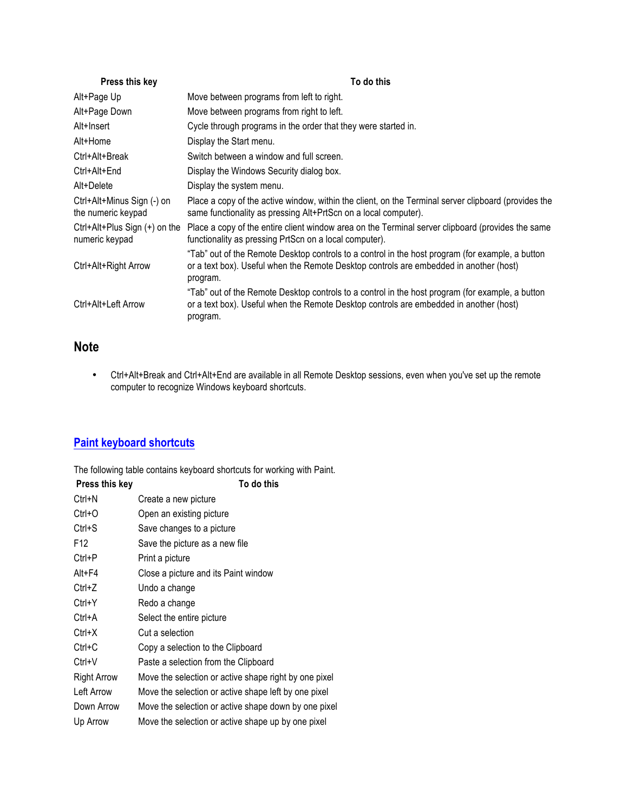| Press this key                                    | To do this                                                                                                                                                                                             |
|---------------------------------------------------|--------------------------------------------------------------------------------------------------------------------------------------------------------------------------------------------------------|
| Alt+Page Up                                       | Move between programs from left to right.                                                                                                                                                              |
| Alt+Page Down                                     | Move between programs from right to left.                                                                                                                                                              |
| Alt+Insert                                        | Cycle through programs in the order that they were started in.                                                                                                                                         |
| Alt+Home                                          | Display the Start menu.                                                                                                                                                                                |
| Ctrl+Alt+Break                                    | Switch between a window and full screen.                                                                                                                                                               |
| Ctrl+Alt+End                                      | Display the Windows Security dialog box.                                                                                                                                                               |
| Alt+Delete                                        | Display the system menu.                                                                                                                                                                               |
| Ctrl+Alt+Minus Sign (-) on<br>the numeric keypad  | Place a copy of the active window, within the client, on the Terminal server clipboard (provides the<br>same functionality as pressing Alt+PrtScn on a local computer).                                |
| Ctrl+Alt+Plus Sign $(+)$ on the<br>numeric keypad | Place a copy of the entire client window area on the Terminal server clipboard (provides the same<br>functionality as pressing PrtScn on a local computer).                                            |
| Ctrl+Alt+Right Arrow                              | "Tab" out of the Remote Desktop controls to a control in the host program (for example, a button<br>or a text box). Useful when the Remote Desktop controls are embedded in another (host)<br>program. |
| Ctrl+Alt+Left Arrow                               | "Tab" out of the Remote Desktop controls to a control in the host program (for example, a button<br>or a text box). Useful when the Remote Desktop controls are embedded in another (host)<br>program. |

## **Note**

• Ctrl+Alt+Break and Ctrl+Alt+End are available in all Remote Desktop sessions, even when you've set up the remote computer to recognize Windows keyboard shortcuts.

### **Paint keyboard shortcuts**

The following table contains keyboard shortcuts for working with Paint.

| Press this key     | To do this                                            |
|--------------------|-------------------------------------------------------|
| Ctrl+N             | Create a new picture                                  |
| Ctrl+O             | Open an existing picture                              |
| $Ctrl + S$         | Save changes to a picture                             |
| F12                | Save the picture as a new file                        |
| Ctrl+P             | Print a picture                                       |
| Alt+F4             | Close a picture and its Paint window                  |
| $Ctrl+Z$           | Undo a change                                         |
| Ctrl+Y             | Redo a change                                         |
| Ctrl+A             | Select the entire picture                             |
| $Ctrl+X$           | Cut a selection                                       |
| $Ctrl + C$         | Copy a selection to the Clipboard                     |
| Ctrl+V             | Paste a selection from the Clipboard                  |
| <b>Right Arrow</b> | Move the selection or active shape right by one pixel |
| <b>Left Arrow</b>  | Move the selection or active shape left by one pixel  |
| Down Arrow         | Move the selection or active shape down by one pixel  |
| Up Arrow           | Move the selection or active shape up by one pixel    |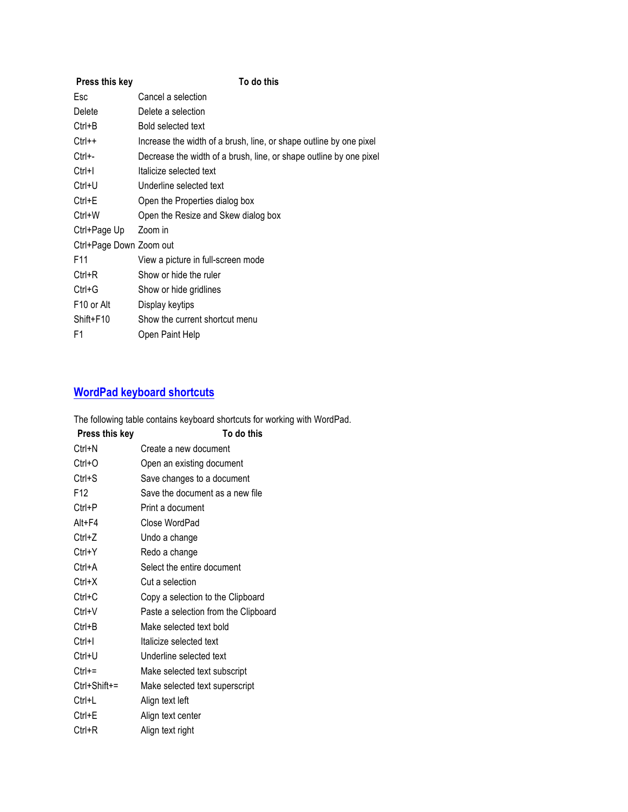| To do this                                                         |
|--------------------------------------------------------------------|
| Cancel a selection                                                 |
| Delete a selection                                                 |
| Bold selected text                                                 |
| Increase the width of a brush, line, or shape outline by one pixel |
| Decrease the width of a brush, line, or shape outline by one pixel |
| Italicize selected text                                            |
| Underline selected text                                            |
| Open the Properties dialog box                                     |
| Open the Resize and Skew dialog box                                |
| Zoom in                                                            |
| Ctrl+Page Down Zoom out                                            |
| View a picture in full-screen mode                                 |
| Show or hide the ruler                                             |
| Show or hide gridlines                                             |
| Display keytips                                                    |
| Show the current shortcut menu                                     |
| Open Paint Help                                                    |
|                                                                    |

# **WordPad keyboard shortcuts**

The following table contains keyboard shortcuts for working with WordPad.

| Press this key    | To do this                           |
|-------------------|--------------------------------------|
| Ctrl+N            | Create a new document                |
| $Ctrl + O$        | Open an existing document            |
| $Ctrl + S$        | Save changes to a document           |
| F <sub>12</sub>   | Save the document as a new file      |
| Ctrl+P            | Print a document                     |
| Alt+F4            | Close WordPad                        |
| $Ctrl+Z$          | Undo a change                        |
| $Ctrl+Y$          | Redo a change                        |
| Ctrl+A            | Select the entire document           |
| $Ctrl+X$          | Cut a selection                      |
| $Ctrl + C$        | Copy a selection to the Clipboard    |
| $Ctrl + V$        | Paste a selection from the Clipboard |
| $Ctrl + B$        | Make selected text bold              |
| $Ctrl + I$        | Italicize selected text              |
| Ctrl+U            | Underline selected text              |
| $Ctrl +=$         | Make selected text subscript         |
| $Ctrl + Shift +=$ | Make selected text superscript       |
| $Ctrl + L$        | Align text left                      |
| $Ctrl + E$        | Align text center                    |
| $Ctrl + R$        | Align text right                     |
|                   |                                      |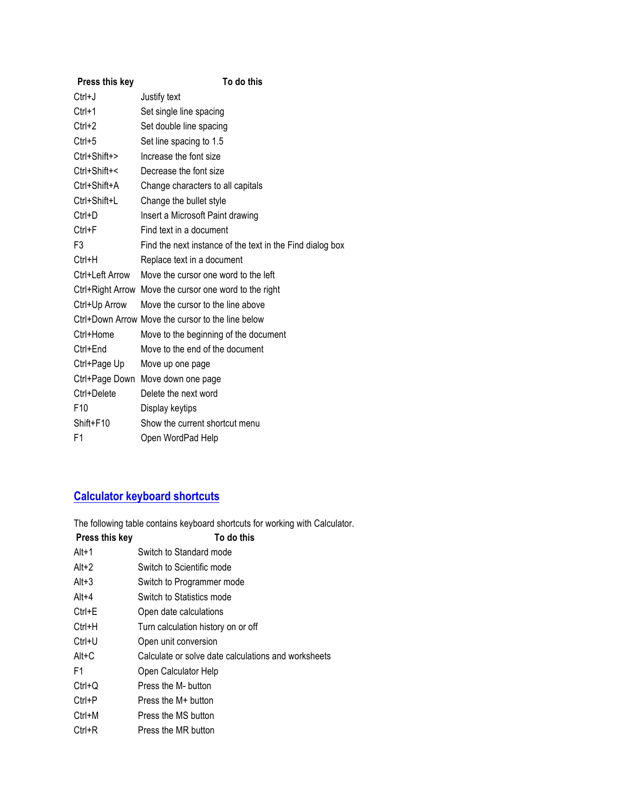| Press this key     | To do this                                                |
|--------------------|-----------------------------------------------------------|
| $Ctrl + J$         | Justify text                                              |
| $Ctrl + 1$         | Set single line spacing                                   |
| $Ctrl + 2$         | Set double line spacing                                   |
| $Ctrl + 5$         | Set line spacing to 1.5                                   |
| Ctrl+Shift+>       | Increase the font size                                    |
| $Ctrl + Shift + <$ | Decrease the font size                                    |
| Ctrl+Shift+A       | Change characters to all capitals                         |
| $Ctrl + Shift + L$ | Change the bullet style                                   |
| $Ctrl + D$         | Insert a Microsoft Paint drawing                          |
| $Ctrl + F$         | Find text in a document                                   |
| F3                 | Find the next instance of the text in the Find dialog box |
| $Ctrl+H$           | Replace text in a document                                |
| Ctrl+Left Arrow    | Move the cursor one word to the left                      |
|                    | Ctrl+Right Arrow Move the cursor one word to the right    |
| Ctrl+Up Arrow      | Move the cursor to the line above                         |
|                    | Ctrl+Down Arrow Move the cursor to the line below         |
| Ctrl+Home          | Move to the beginning of the document                     |
| Ctrl+End           | Move to the end of the document                           |
| Ctrl+Page Up       | Move up one page                                          |
|                    | Ctrl+Page Down Move down one page                         |
| Ctrl+Delete        | Delete the next word                                      |
| F <sub>10</sub>    | Display keytips                                           |
| Shift+F10          | Show the current shortcut menu                            |
| F1                 | Open WordPad Help                                         |

# **Calculator keyboard shortcuts**

The following table contains keyboard shortcuts for working with Calculator.

| <b>Press this key</b> | To do this                                          |
|-----------------------|-----------------------------------------------------|
| $Alt+1$               | Switch to Standard mode                             |
| $Alt+2$               | Switch to Scientific mode                           |
| $Alt+3$               | Switch to Programmer mode                           |
| $Alt+4$               | Switch to Statistics mode                           |
| $Ctrl + E$            | Open date calculations                              |
| $Ctrl+H$              | Turn calculation history on or off                  |
| Ctrl+U                | Open unit conversion                                |
| Alt+C                 | Calculate or solve date calculations and worksheets |
| F1                    | Open Calculator Help                                |
| $Ctrl + Q$            | Press the M- button                                 |
| $Ctrl + P$            | Press the M+ button                                 |
| Ctrl+M                | Press the MS button                                 |
| Ctrl+R                | Press the MR button                                 |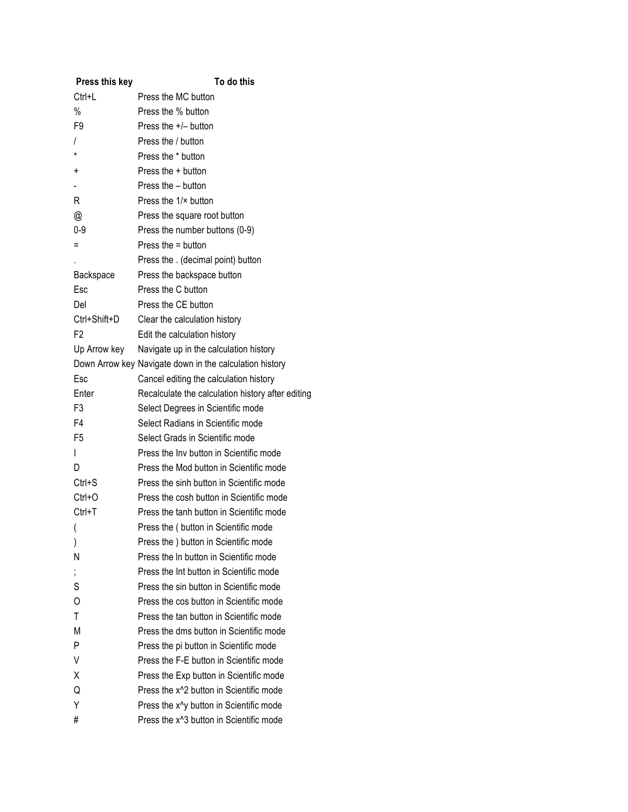| Press this key | To do this                                              |
|----------------|---------------------------------------------------------|
| $Ctrl + L$     | Press the MC button                                     |
| %              | Press the % button                                      |
| F9             | Press the $+/-$ button                                  |
| I              | Press the / button                                      |
| *              | Press the * button                                      |
| +              | Press the $+$ button                                    |
|                | Press the - button                                      |
| R              | Press the 1/x button                                    |
| @              | Press the square root button                            |
| 0-9            | Press the number buttons (0-9)                          |
| Ξ              | Press the $=$ button                                    |
|                | Press the . (decimal point) button                      |
| Backspace      | Press the backspace button                              |
| <b>Esc</b>     | Press the C button                                      |
| Del            | Press the CE button                                     |
| Ctrl+Shift+D   | Clear the calculation history                           |
| F <sub>2</sub> | Edit the calculation history                            |
| Up Arrow key   | Navigate up in the calculation history                  |
|                | Down Arrow key Navigate down in the calculation history |
| Esc            | Cancel editing the calculation history                  |
| Enter          | Recalculate the calculation history after editing       |
| F <sub>3</sub> | Select Degrees in Scientific mode                       |
| F4             | Select Radians in Scientific mode                       |
| F5             | Select Grads in Scientific mode                         |
| L              | Press the Inv button in Scientific mode                 |
| D              | Press the Mod button in Scientific mode                 |
| $Ctrl + S$     | Press the sinh button in Scientific mode                |
| $Ctrl + O$     | Press the cosh button in Scientific mode                |
| Ctrl+T         | Press the tanh button in Scientific mode                |
| (              | Press the (button in Scientific mode                    |
| )              | Press the ) button in Scientific mode                   |
| Ν              | Press the In button in Scientific mode                  |
|                | Press the Int button in Scientific mode                 |
| S              | Press the sin button in Scientific mode                 |
| Ω              | Press the cos button in Scientific mode                 |
| т              | Press the tan button in Scientific mode                 |
| М              | Press the dms button in Scientific mode                 |
| P              | Press the pi button in Scientific mode                  |
| V              | Press the F-E button in Scientific mode                 |
| х              | Press the Exp button in Scientific mode                 |
| Q              | Press the x <sup>1</sup> 2 button in Scientific mode    |
| Y              | Press the x <sup>1</sup> y button in Scientific mode    |
| #              | Press the x <sup>1</sup> 3 button in Scientific mode    |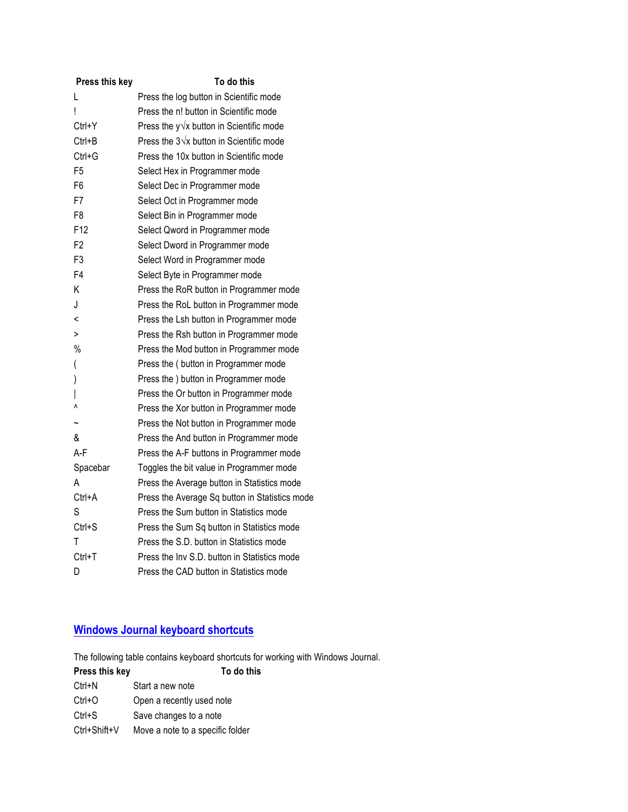| Press this key  | To do this                                      |
|-----------------|-------------------------------------------------|
| L               | Press the log button in Scientific mode         |
| I               | Press the n! button in Scientific mode          |
| Ctrl+Y          | Press the $y\sqrt{x}$ button in Scientific mode |
| Ctrl+B          | Press the $3\sqrt{x}$ button in Scientific mode |
| $Ctrl + G$      | Press the 10x button in Scientific mode         |
| F <sub>5</sub>  | Select Hex in Programmer mode                   |
| F6              | Select Dec in Programmer mode                   |
| F7              | Select Oct in Programmer mode                   |
| F8              | Select Bin in Programmer mode                   |
| F <sub>12</sub> | Select Qword in Programmer mode                 |
| F <sub>2</sub>  | Select Dword in Programmer mode                 |
| F <sub>3</sub>  | Select Word in Programmer mode                  |
| F4              | Select Byte in Programmer mode                  |
| K               | Press the RoR button in Programmer mode         |
| J               | Press the RoL button in Programmer mode         |
| ≺               | Press the Lsh button in Programmer mode         |
| >               | Press the Rsh button in Programmer mode         |
| $\%$            | Press the Mod button in Programmer mode         |
| (               | Press the (button in Programmer mode            |
| )               | Press the ) button in Programmer mode           |
|                 | Press the Or button in Programmer mode          |
| ٨               | Press the Xor button in Programmer mode         |
|                 | Press the Not button in Programmer mode         |
| &               | Press the And button in Programmer mode         |
| A-F             | Press the A-F buttons in Programmer mode        |
| Spacebar        | Toggles the bit value in Programmer mode        |
| А               | Press the Average button in Statistics mode     |
| Ctrl+A          | Press the Average Sq button in Statistics mode  |
| S               | Press the Sum button in Statistics mode         |
| $Ctrl + S$      | Press the Sum Sq button in Statistics mode      |
| т               | Press the S.D. button in Statistics mode        |
| $Ctrl+T$        | Press the Inv S.D. button in Statistics mode    |
| D               | Press the CAD button in Statistics mode         |

### **Windows Journal keyboard shortcuts**

The following table contains keyboard shortcuts for working with Windows Journal.

| Press this key<br>To do this |                                  |
|------------------------------|----------------------------------|
| $Ctrl + N$                   | Start a new note                 |
| $Ctrl + O$                   | Open a recently used note        |
| $Ctrl + S$                   | Save changes to a note           |
| Ctrl+Shift+V                 | Move a note to a specific folder |